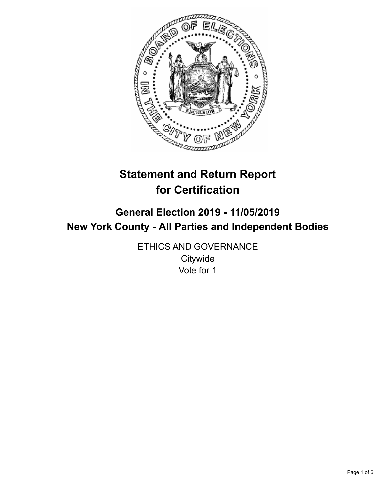

# **Statement and Return Report for Certification**

## **General Election 2019 - 11/05/2019 New York County - All Parties and Independent Bodies**

ETHICS AND GOVERNANCE **Citywide** Vote for 1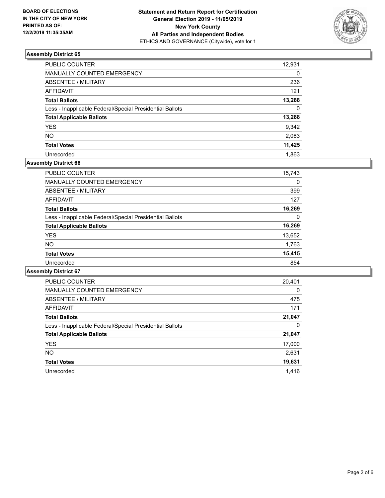

| PUBLIC COUNTER                                           | 12,931   |
|----------------------------------------------------------|----------|
| MANUALLY COUNTED EMERGENCY                               | $\Omega$ |
| <b>ABSENTEE / MILITARY</b>                               | 236      |
| <b>AFFIDAVIT</b>                                         | 121      |
| <b>Total Ballots</b>                                     | 13,288   |
| Less - Inapplicable Federal/Special Presidential Ballots | $\Omega$ |
| <b>Total Applicable Ballots</b>                          | 13,288   |
| <b>YES</b>                                               | 9,342    |
| <b>NO</b>                                                | 2,083    |
| <b>Total Votes</b>                                       | 11,425   |
| Unrecorded                                               | 1.863    |

### **Assembly District 66**

| <b>PUBLIC COUNTER</b>                                    | 15.743 |
|----------------------------------------------------------|--------|
| <b>MANUALLY COUNTED EMERGENCY</b>                        | 0      |
| ABSENTEE / MILITARY                                      | 399    |
| AFFIDAVIT                                                | 127    |
| <b>Total Ballots</b>                                     | 16,269 |
| Less - Inapplicable Federal/Special Presidential Ballots | 0      |
| <b>Total Applicable Ballots</b>                          | 16,269 |
| <b>YES</b>                                               | 13,652 |
| NO.                                                      | 1,763  |
| <b>Total Votes</b>                                       | 15,415 |
| Unrecorded                                               | 854    |
|                                                          |        |

| <b>PUBLIC COUNTER</b>                                    | 20,401   |
|----------------------------------------------------------|----------|
| <b>MANUALLY COUNTED EMERGENCY</b>                        | $\Omega$ |
| ABSENTEE / MILITARY                                      | 475      |
| <b>AFFIDAVIT</b>                                         | 171      |
| <b>Total Ballots</b>                                     | 21,047   |
| Less - Inapplicable Federal/Special Presidential Ballots | 0        |
| <b>Total Applicable Ballots</b>                          | 21,047   |
| <b>YES</b>                                               | 17,000   |
| NO.                                                      | 2,631    |
| <b>Total Votes</b>                                       | 19,631   |
| Unrecorded                                               | 1.416    |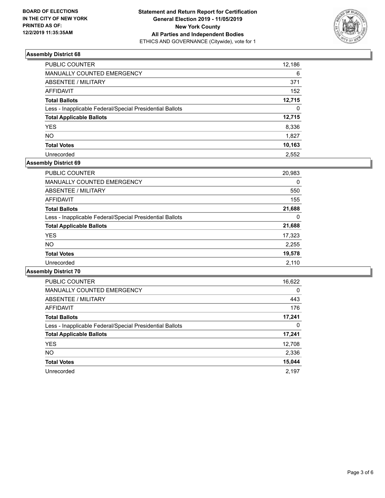

| PUBLIC COUNTER                                           | 12,186   |
|----------------------------------------------------------|----------|
| MANUALLY COUNTED EMERGENCY                               | 6        |
| <b>ABSENTEE / MILITARY</b>                               | 371      |
| AFFIDAVIT                                                | 152      |
| <b>Total Ballots</b>                                     | 12,715   |
| Less - Inapplicable Federal/Special Presidential Ballots | $\Omega$ |
| <b>Total Applicable Ballots</b>                          | 12,715   |
| <b>YES</b>                                               | 8,336    |
| <b>NO</b>                                                | 1.827    |
| <b>Total Votes</b>                                       | 10,163   |
| Unrecorded                                               | 2.552    |

## **Assembly District 69**

| <b>PUBLIC COUNTER</b>                                    | 20,983 |
|----------------------------------------------------------|--------|
| <b>MANUALLY COUNTED EMERGENCY</b>                        | 0      |
| ABSENTEE / MILITARY                                      | 550    |
| AFFIDAVIT                                                | 155    |
| <b>Total Ballots</b>                                     | 21,688 |
| Less - Inapplicable Federal/Special Presidential Ballots | 0      |
| <b>Total Applicable Ballots</b>                          | 21,688 |
| <b>YES</b>                                               | 17,323 |
| <b>NO</b>                                                | 2,255  |
| <b>Total Votes</b>                                       | 19,578 |
| Unrecorded                                               | 2,110  |

| <b>PUBLIC COUNTER</b>                                    | 16,622   |
|----------------------------------------------------------|----------|
| <b>MANUALLY COUNTED EMERGENCY</b>                        | $\Omega$ |
| ABSENTEE / MILITARY                                      | 443      |
| AFFIDAVIT                                                | 176      |
| <b>Total Ballots</b>                                     | 17,241   |
| Less - Inapplicable Federal/Special Presidential Ballots | 0        |
| <b>Total Applicable Ballots</b>                          | 17,241   |
| <b>YES</b>                                               | 12,708   |
| <b>NO</b>                                                | 2,336    |
| <b>Total Votes</b>                                       | 15,044   |
| Unrecorded                                               | 2.197    |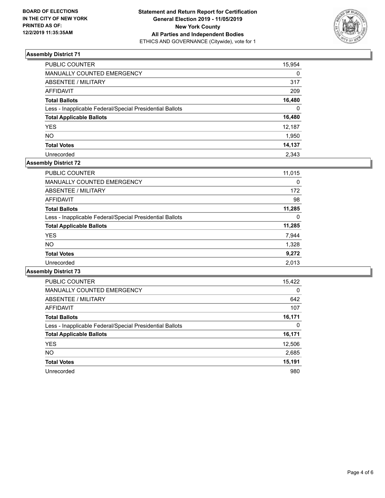

| PUBLIC COUNTER                                           | 15,954   |
|----------------------------------------------------------|----------|
| <b>MANUALLY COUNTED EMERGENCY</b>                        | $\Omega$ |
| ABSENTEE / MILITARY                                      | 317      |
| <b>AFFIDAVIT</b>                                         | 209      |
| <b>Total Ballots</b>                                     | 16,480   |
| Less - Inapplicable Federal/Special Presidential Ballots | $\Omega$ |
| <b>Total Applicable Ballots</b>                          | 16,480   |
| <b>YES</b>                                               | 12,187   |
| <b>NO</b>                                                | 1,950    |
| <b>Total Votes</b>                                       | 14,137   |
| Unrecorded                                               | 2.343    |

## **Assembly District 72**

| <b>PUBLIC COUNTER</b>                                    | 11,015 |
|----------------------------------------------------------|--------|
| <b>MANUALLY COUNTED EMERGENCY</b>                        | 0      |
| ABSENTEE / MILITARY                                      | 172    |
| AFFIDAVIT                                                | 98     |
| <b>Total Ballots</b>                                     | 11.285 |
| Less - Inapplicable Federal/Special Presidential Ballots | 0      |
| <b>Total Applicable Ballots</b>                          | 11,285 |
| <b>YES</b>                                               | 7,944  |
| <b>NO</b>                                                | 1,328  |
| <b>Total Votes</b>                                       | 9,272  |
| Unrecorded                                               | 2,013  |
|                                                          |        |

| PUBLIC COUNTER                                           | 15,422   |
|----------------------------------------------------------|----------|
| <b>MANUALLY COUNTED EMERGENCY</b>                        | $\Omega$ |
| ABSENTEE / MILITARY                                      | 642      |
| AFFIDAVIT                                                | 107      |
| <b>Total Ballots</b>                                     | 16,171   |
| Less - Inapplicable Federal/Special Presidential Ballots | $\Omega$ |
| <b>Total Applicable Ballots</b>                          | 16,171   |
| <b>YES</b>                                               | 12,506   |
| NO.                                                      | 2,685    |
| <b>Total Votes</b>                                       | 15,191   |
| Unrecorded                                               | 980      |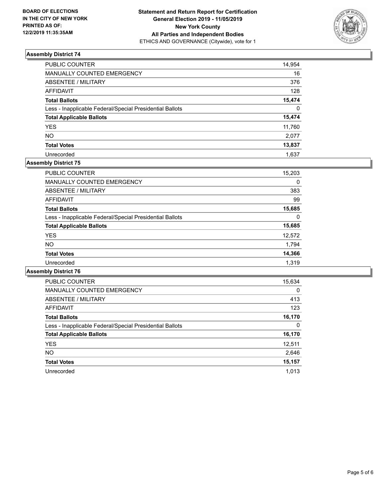

| PUBLIC COUNTER                                           | 14,954   |
|----------------------------------------------------------|----------|
| <b>MANUALLY COUNTED EMERGENCY</b>                        | 16       |
| <b>ABSENTEE / MILITARY</b>                               | 376      |
| <b>AFFIDAVIT</b>                                         | 128      |
| <b>Total Ballots</b>                                     | 15,474   |
| Less - Inapplicable Federal/Special Presidential Ballots | $\Omega$ |
| <b>Total Applicable Ballots</b>                          | 15,474   |
| <b>YES</b>                                               | 11,760   |
| <b>NO</b>                                                | 2,077    |
| <b>Total Votes</b>                                       | 13,837   |
| Unrecorded                                               | 1.637    |

### **Assembly District 75**

| 15,203 |
|--------|
| 0      |
| 383    |
| 99     |
| 15,685 |
| 0      |
| 15,685 |
| 12,572 |
| 1,794  |
| 14,366 |
| 1.319  |
|        |

| <b>PUBLIC COUNTER</b>                                    | 15,634   |
|----------------------------------------------------------|----------|
| <b>MANUALLY COUNTED EMERGENCY</b>                        | $\Omega$ |
| ABSENTEE / MILITARY                                      | 413      |
| <b>AFFIDAVIT</b>                                         | 123      |
| <b>Total Ballots</b>                                     | 16,170   |
| Less - Inapplicable Federal/Special Presidential Ballots | 0        |
| <b>Total Applicable Ballots</b>                          | 16,170   |
| <b>YES</b>                                               | 12,511   |
| <b>NO</b>                                                | 2,646    |
| <b>Total Votes</b>                                       | 15,157   |
| Unrecorded                                               | 1.013    |